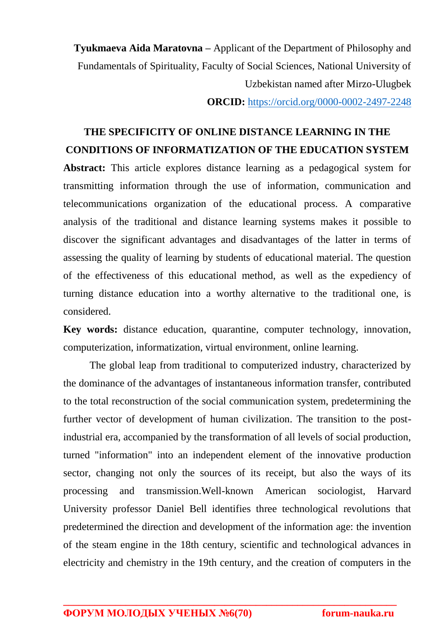**Tyukmaeva Aida Maratovna –** Applicant of the Department of Philosophy and Fundamentals of Spirituality, Faculty of Social Sciences, National University of Uzbekistan named after Mirzo-Ulugbek **ORCID:** <https://orcid.org/0000-0002-2497-2248>

## **THE SPECIFICITY OF ONLINE DISTANCE LEARNING IN THE CONDITIONS OF INFORMATIZATION OF THE EDUCATION SYSTEM**

**Abstract:** This article explores distance learning as a pedagogical system for transmitting information through the use of information, communication and telecommunications organization of the educational process. A comparative analysis of the traditional and distance learning systems makes it possible to discover the significant advantages and disadvantages of the latter in terms of assessing the quality of learning by students of educational material. The question of the effectiveness of this educational method, as well as the expediency of turning distance education into a worthy alternative to the traditional one, is considered.

**Key words:** distance education, quarantine, computer technology, innovation, computerization, informatization, virtual environment, online learning.

The global leap from traditional to computerized industry, characterized by the dominance of the advantages of instantaneous information transfer, contributed to the total reconstruction of the social communication system, predetermining the further vector of development of human civilization. The transition to the postindustrial era, accompanied by the transformation of all levels of social production, turned "information" into an independent element of the innovative production sector, changing not only the sources of its receipt, but also the ways of its processing and transmission.Well-known American sociologist, Harvard University professor Daniel Bell identifies three technological revolutions that predetermined the direction and development of the information age: the invention of the steam engine in the 18th century, scientific and technological advances in electricity and chemistry in the 19th century, and the creation of computers in the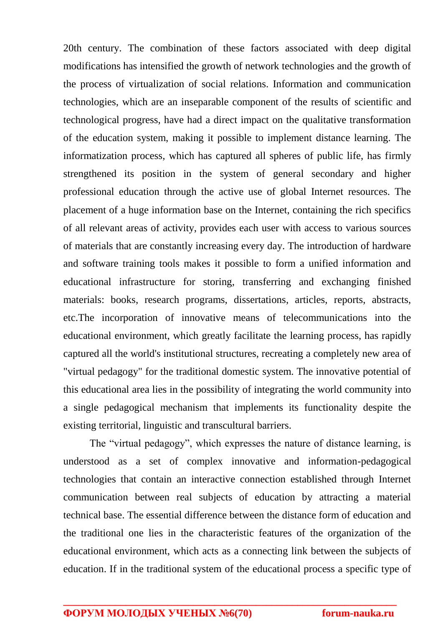20th century. The combination of these factors associated with deep digital modifications has intensified the growth of network technologies and the growth of the process of virtualization of social relations. Information and communication technologies, which are an inseparable component of the results of scientific and technological progress, have had a direct impact on the qualitative transformation of the education system, making it possible to implement distance learning. The informatization process, which has captured all spheres of public life, has firmly strengthened its position in the system of general secondary and higher professional education through the active use of global Internet resources. The placement of a huge information base on the Internet, containing the rich specifics of all relevant areas of activity, provides each user with access to various sources of materials that are constantly increasing every day. The introduction of hardware and software training tools makes it possible to form a unified information and educational infrastructure for storing, transferring and exchanging finished materials: books, research programs, dissertations, articles, reports, abstracts, etc.The incorporation of innovative means of telecommunications into the educational environment, which greatly facilitate the learning process, has rapidly captured all the world's institutional structures, recreating a completely new area of "virtual pedagogy" for the traditional domestic system. The innovative potential of this educational area lies in the possibility of integrating the world community into a single pedagogical mechanism that implements its functionality despite the existing territorial, linguistic and transcultural barriers.

The "virtual pedagogy", which expresses the nature of distance learning, is understood as a set of complex innovative and information-pedagogical technologies that contain an interactive connection established through Internet communication between real subjects of education by attracting a material technical base. The essential difference between the distance form of education and the traditional one lies in the characteristic features of the organization of the educational environment, which acts as a connecting link between the subjects of education. If in the traditional system of the educational process a specific type of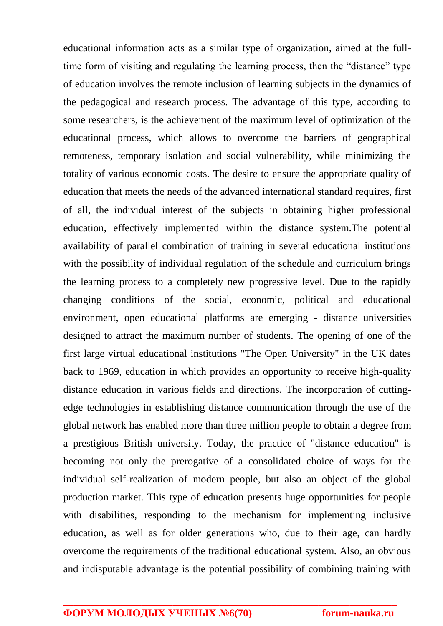educational information acts as a similar type of organization, aimed at the fulltime form of visiting and regulating the learning process, then the "distance" type of education involves the remote inclusion of learning subjects in the dynamics of the pedagogical and research process. The advantage of this type, according to some researchers, is the achievement of the maximum level of optimization of the educational process, which allows to overcome the barriers of geographical remoteness, temporary isolation and social vulnerability, while minimizing the totality of various economic costs. The desire to ensure the appropriate quality of education that meets the needs of the advanced international standard requires, first of all, the individual interest of the subjects in obtaining higher professional education, effectively implemented within the distance system.The potential availability of parallel combination of training in several educational institutions with the possibility of individual regulation of the schedule and curriculum brings the learning process to a completely new progressive level. Due to the rapidly changing conditions of the social, economic, political and educational environment, open educational platforms are emerging - distance universities designed to attract the maximum number of students. The opening of one of the first large virtual educational institutions "The Open University" in the UK dates back to 1969, education in which provides an opportunity to receive high-quality distance education in various fields and directions. The incorporation of cuttingedge technologies in establishing distance communication through the use of the global network has enabled more than three million people to obtain a degree from a prestigious British university. Today, the practice of "distance education" is becoming not only the prerogative of a consolidated choice of ways for the individual self-realization of modern people, but also an object of the global production market. This type of education presents huge opportunities for people with disabilities, responding to the mechanism for implementing inclusive education, as well as for older generations who, due to their age, can hardly overcome the requirements of the traditional educational system. Also, an obvious and indisputable advantage is the potential possibility of combining training with

**\_\_\_\_\_\_\_\_\_\_\_\_\_\_\_\_\_\_\_\_\_\_\_\_\_\_\_\_\_\_\_\_\_\_\_\_\_\_\_\_\_\_\_\_\_\_\_\_\_\_\_\_\_\_\_\_\_\_\_\_\_\_\_\_** 

## **ФОРУМ МОЛОДЫХ УЧЕНЫХ №6(70) forum-nauka.ru**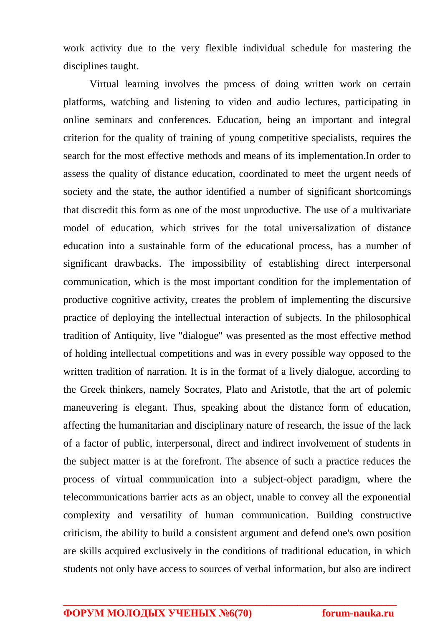work activity due to the very flexible individual schedule for mastering the disciplines taught.

Virtual learning involves the process of doing written work on certain platforms, watching and listening to video and audio lectures, participating in online seminars and conferences. Education, being an important and integral criterion for the quality of training of young competitive specialists, requires the search for the most effective methods and means of its implementation.In order to assess the quality of distance education, coordinated to meet the urgent needs of society and the state, the author identified a number of significant shortcomings that discredit this form as one of the most unproductive. The use of a multivariate model of education, which strives for the total universalization of distance education into a sustainable form of the educational process, has a number of significant drawbacks. The impossibility of establishing direct interpersonal communication, which is the most important condition for the implementation of productive cognitive activity, creates the problem of implementing the discursive practice of deploying the intellectual interaction of subjects. In the philosophical tradition of Antiquity, live "dialogue" was presented as the most effective method of holding intellectual competitions and was in every possible way opposed to the written tradition of narration. It is in the format of a lively dialogue, according to the Greek thinkers, namely Socrates, Plato and Aristotle, that the art of polemic maneuvering is elegant. Thus, speaking about the distance form of education, affecting the humanitarian and disciplinary nature of research, the issue of the lack of a factor of public, interpersonal, direct and indirect involvement of students in the subject matter is at the forefront. The absence of such a practice reduces the process of virtual communication into a subject-object paradigm, where the telecommunications barrier acts as an object, unable to convey all the exponential complexity and versatility of human communication. Building constructive criticism, the ability to build a consistent argument and defend one's own position are skills acquired exclusively in the conditions of traditional education, in which students not only have access to sources of verbal information, but also are indirect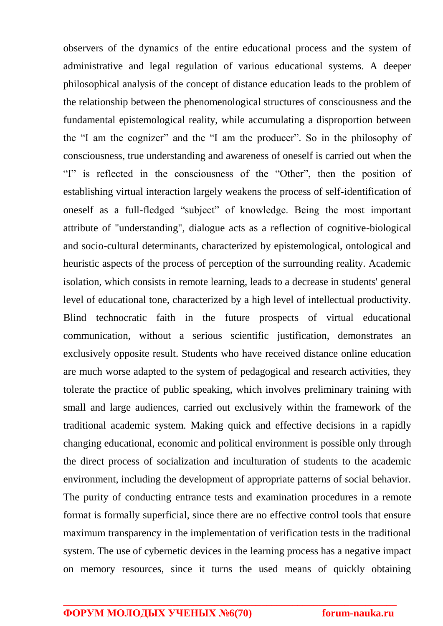observers of the dynamics of the entire educational process and the system of administrative and legal regulation of various educational systems. A deeper philosophical analysis of the concept of distance education leads to the problem of the relationship between the phenomenological structures of consciousness and the fundamental epistemological reality, while accumulating a disproportion between the "I am the cognizer" and the "I am the producer". So in the philosophy of consciousness, true understanding and awareness of oneself is carried out when the "I" is reflected in the consciousness of the "Other", then the position of establishing virtual interaction largely weakens the process of self-identification of oneself as a full-fledged "subject" of knowledge. Being the most important attribute of "understanding", dialogue acts as a reflection of cognitive-biological and socio-cultural determinants, characterized by epistemological, ontological and heuristic aspects of the process of perception of the surrounding reality. Academic isolation, which consists in remote learning, leads to a decrease in students' general level of educational tone, characterized by a high level of intellectual productivity. Blind technocratic faith in the future prospects of virtual educational communication, without a serious scientific justification, demonstrates an exclusively opposite result. Students who have received distance online education are much worse adapted to the system of pedagogical and research activities, they tolerate the practice of public speaking, which involves preliminary training with small and large audiences, carried out exclusively within the framework of the traditional academic system. Making quick and effective decisions in a rapidly changing educational, economic and political environment is possible only through the direct process of socialization and inculturation of students to the academic environment, including the development of appropriate patterns of social behavior. The purity of conducting entrance tests and examination procedures in a remote format is formally superficial, since there are no effective control tools that ensure maximum transparency in the implementation of verification tests in the traditional system. The use of cybernetic devices in the learning process has a negative impact on memory resources, since it turns the used means of quickly obtaining